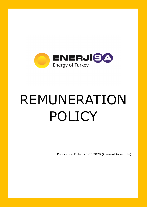

## REMUNERATION POLICY

Publication Date: 23.03.2020 (General Assembly)